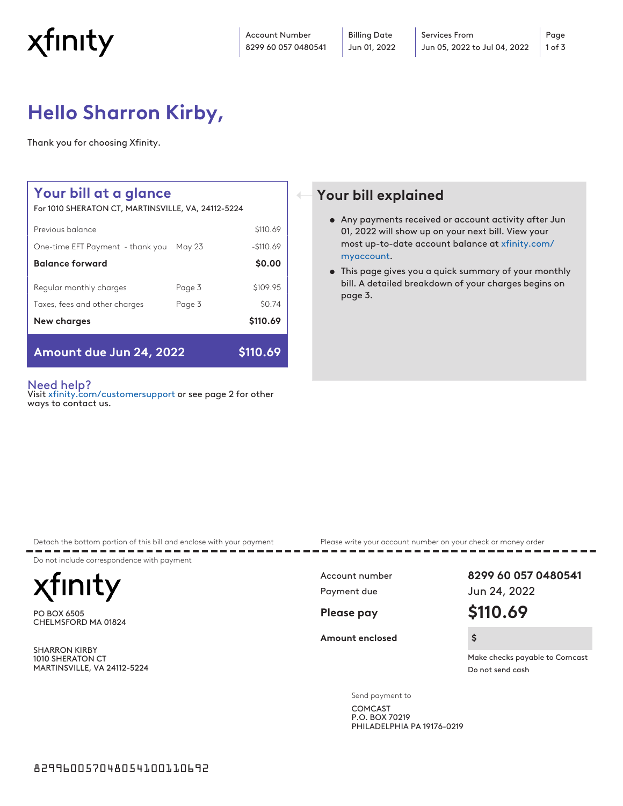

Account Number 8299 60 057 0480541

# **Hello Sharron Kirby,**

Thank you for choosing Xfinity.

## **Your bill at a glance**

For 1010 SHERATON CT, MARTINSVILLE, VA, 24112-5224

| Amount due Jun 24, 2022          | \$110.69 |            |
|----------------------------------|----------|------------|
| New charges                      |          | \$110.69   |
| Taxes, fees and other charges    | Page 3   | \$0.74     |
| Regular monthly charges          | Page 3   | \$109.95   |
| <b>Balance forward</b>           |          | \$0.00     |
| One-time EFT Payment - thank you | May 23   | $-5110.69$ |
| Previous balance                 |          | \$110.69   |

#### Need help?

Visit [xfinity.com/customersupport](http://xfinity.com/customersupport) or see page 2 for other ways to contact us.

## **Your bill explained**

- Any payments received or account activity after Jun 01, 2022 will show up on your next bill. View your most up-to-date account balance at [xfinity.com/](https://login.xfinity.com/login?r=comcast.net&s=oauth&continue=https%3A%2F%2Foauth.xfinity.com%2Foauth%2Fauthorize%3Fclient_id%3Dx--d2.prod.cmsplatform%26response_mode%3Dform_post%26redirect_uri%3Dhttps%253a%252f%252fjss.xfinity.com%252fsignin-cima%26response_type%3Dcode%26scope%3Dopenid%2Bprofile%26state%3DOpenIdConnect.AuthenticationProperties%253dx_Z87vnYhP1qaaKn4GlsW27unc6qtpPIBx841LjHTVYaXXiVZedfov6CzG48IjRVtTD60k30Mr6qczjAOWw3ZxWu8Arl-W9eNUAwXIFzu4jdEIdWkt7i-e0KwNLNvwbW0RkhmRs7VsjW6mgQ3R44pBf2yZT0TN7bNmwfVfWFKGdWNXXC7BZJglMhBA9Km7NgAKlug1X-zXa0OCOU2IsHTo5S1rJtlSHZhc0TRqJcklqZ1HwGB6yT6FrcZ93aJFqtCFXMXXt_yoVaC-GG5Z22vnK6zQU5sUsCYkOa4FYOOKaa5xKrDvcsm0_5yWK9J3BveOdc0ayM1zsustZoQWUJ6bwjRToBgfKmCo0znohZP3WoBibtsy1oJwFoA8wKRqGyFNBSrKNhkY_KUGvTC-1VFF8i41SRrBb3yS8Ev0mFx3g2kTWP%26max_age%3D9000%26response%3D1&client_id=x--d2.prod.cmsplatform&maxAuthnAge=9000&reqId=bb5833be-f111-46c3-a428-480f2d45e8f2) [myaccount](https://login.xfinity.com/login?r=comcast.net&s=oauth&continue=https%3A%2F%2Foauth.xfinity.com%2Foauth%2Fauthorize%3Fclient_id%3Dx--d2.prod.cmsplatform%26response_mode%3Dform_post%26redirect_uri%3Dhttps%253a%252f%252fjss.xfinity.com%252fsignin-cima%26response_type%3Dcode%26scope%3Dopenid%2Bprofile%26state%3DOpenIdConnect.AuthenticationProperties%253dx_Z87vnYhP1qaaKn4GlsW27unc6qtpPIBx841LjHTVYaXXiVZedfov6CzG48IjRVtTD60k30Mr6qczjAOWw3ZxWu8Arl-W9eNUAwXIFzu4jdEIdWkt7i-e0KwNLNvwbW0RkhmRs7VsjW6mgQ3R44pBf2yZT0TN7bNmwfVfWFKGdWNXXC7BZJglMhBA9Km7NgAKlug1X-zXa0OCOU2IsHTo5S1rJtlSHZhc0TRqJcklqZ1HwGB6yT6FrcZ93aJFqtCFXMXXt_yoVaC-GG5Z22vnK6zQU5sUsCYkOa4FYOOKaa5xKrDvcsm0_5yWK9J3BveOdc0ayM1zsustZoQWUJ6bwjRToBgfKmCo0znohZP3WoBibtsy1oJwFoA8wKRqGyFNBSrKNhkY_KUGvTC-1VFF8i41SRrBb3yS8Ev0mFx3g2kTWP%26max_age%3D9000%26response%3D1&client_id=x--d2.prod.cmsplatform&maxAuthnAge=9000&reqId=bb5833be-f111-46c3-a428-480f2d45e8f2).
- This page gives you a quick summary of your monthly bill. A detailed breakdown of your charges begins on page 3.

Detach the bottom portion of this bill and enclose with your payment Please write your account number on your check or money order

Do not include correspondence with payment

**Inity** 

PO BOX 6505 CHELMSFORD MA 01824

SHARRON KIRBY 1010 SHERATON CT MARTINSVILLE, VA 24112-5224

**Amount enclosed \$**

Account number **8299 60 057 0480541** Payment due Jun 24, 2022

**Please pay \$110.69**

Make checks payable to Comcast Do not send cash

Send payment to

COMCAST P.O. BOX 70219 PHILADELPHIA PA 19176-0219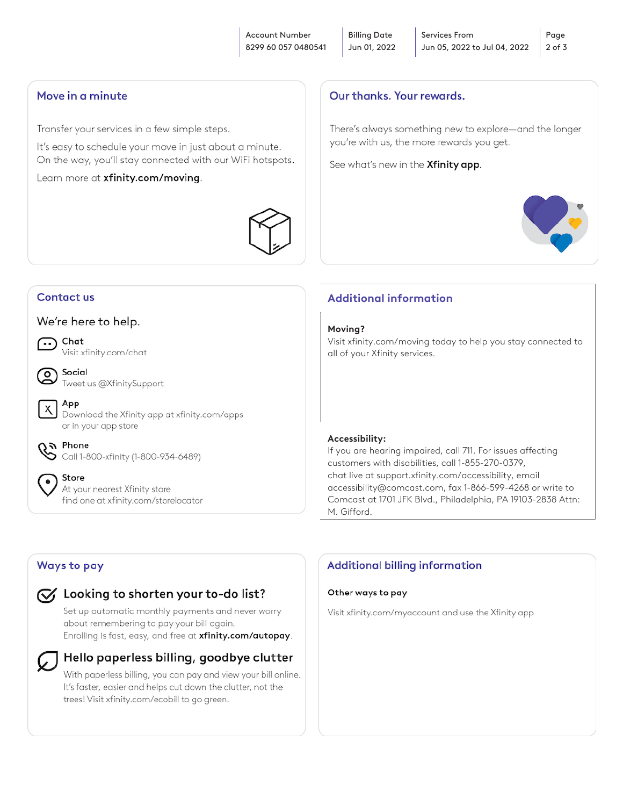#### Move in a minute

Transfer your services in a few simple steps.

It's easy to schedule your move in just about a minute. On the way, you'll stay connected with our WiFi hotspots.

Learn more at xfinity.com/moving.



## Contact us

#### We're here to help.



ം

X

 $\bullet$ 

Chat Visit xfinity.com/chat



App Download the Xfinity app at xfinity.com/apps or in your app store

**& Phone**<br>Call 1-800-xfinity (1-800-934-6489)

Store At your nearest Xfinity store find one at xfinity.com/storelocator

## Our thanks, Your rewards,

There's always something new to explore-and the longer you're with us, the more rewards you get.

See what's new in the Xfinity app.



## **Additional information**

#### **Moving?**

Visit xfinity.com/moving today to help you stay connected to all of your Xfinity services.

#### **Accessibility:**

If you are hearing impaired, call 711. For issues affecting customers with disabilities, call 1-855-270-0379, chat live at support.xfinity.com/accessibility, email accessibility@comcast.com, fax 1-866-599-4268 or write to Comcast at 1701 JFK Blvd., Philadelphia, PA 19103-2838 Attn: M. Gifford.

## Ways to pay

#### $\sqrt{\checkmark}$  Looking to shorten your to-do list?

Set up automatic monthly payments and never worry about remembering to pay your bill again. Enrolling is fast, easy, and free at xfinity.com/autopay.



#### Hello paperless billing, goodbye clutter

With paperless billing, you can pay and view your bill online. It's faster, easier and helps cut down the clutter, not the trees! Visit xfinity.com/ecobill to go green.

## **Additional billing information**

#### Other ways to pay

Visit xfinity.com/myaccount and use the Xfinity app